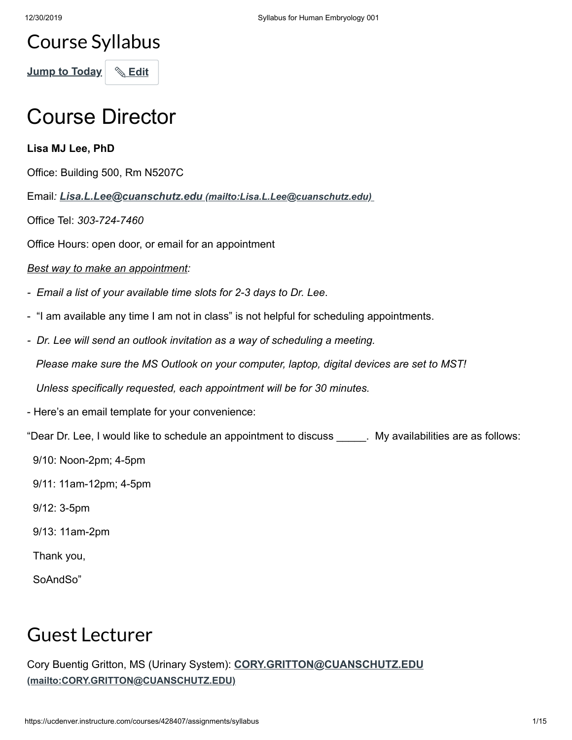### Course Syllabus

**Jump to Today** | **& Edit** 

### Course Director

**Lisa MJ Lee, PhD**

Office: Building 500, Rm N5207C

Email*: Lisa.L.Lee@cuanschutz.edu [\(mailto:Lisa.L.Lee@cuanschutz.edu\)](mailto:Lisa.L.Lee@cuanschutz.edu)* 

Office Tel: *303-724-7460*

Office Hours: open door, or email for an appointment

#### *Best way to make an appointment:*

- *Email a list of your available time slots for 2-3 days to Dr. Lee*.
- "I am available any time I am not in class" is not helpful for scheduling appointments.
- *Dr. Lee will send an outlook invitation as a way of scheduling a meeting.*

 *Please make sure the MS Outlook on your computer, laptop, digital devices are set to MST!*

 *Unless specifically requested, each appointment will be for 30 minutes.*

- Here's an email template for your convenience:

"Dear Dr. Lee, I would like to schedule an appointment to discuss \_\_\_\_\_. My availabilities are as follows:

- 9/10: Noon-2pm; 4-5pm
- 9/11: 11am-12pm; 4-5pm
- 9/12: 3-5pm
- 9/13: 11am-2pm

Thank you,

SoAndSo"

### Guest Lecturer

[Cory Buentig Gritton, MS \(Urinary System\):](mailto:CORY.GRITTON@CUANSCHUTZ.EDU) **CORY.GRITTON@CUANSCHUTZ.EDU (mailto:CORY.GRITTON@CUANSCHUTZ.EDU)**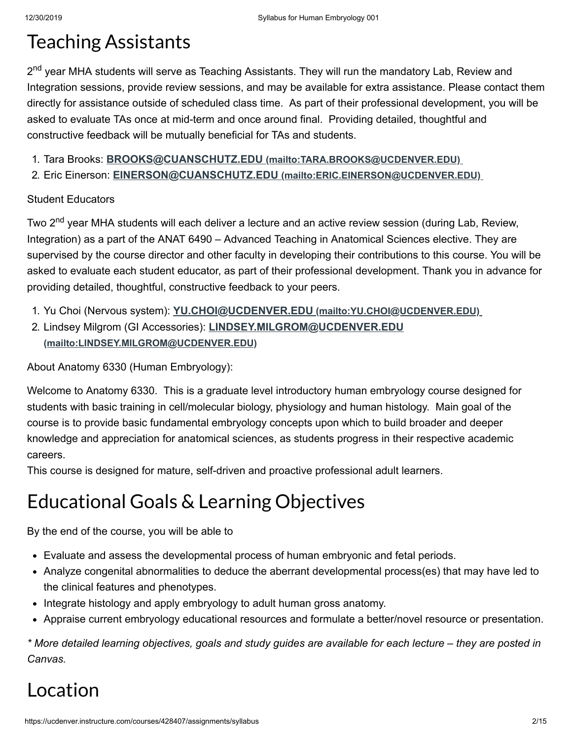### Teaching Assistants

2<sup>nd</sup> year MHA students will serve as Teaching Assistants. They will run the mandatory Lab, Review and Integration sessions, provide review sessions, and may be available for extra assistance. Please contact them directly for assistance outside of scheduled class time. As part of their professional development, you will be asked to evaluate TAs once at mid-term and once around final. Providing detailed, thoughtful and constructive feedback will be mutually beneficial for TAs and students.

- 1. Tara Brooks: **BROOKS@CUANSCHUTZ.EDU [\(mailto:TARA.BROOKS@UCDENVER.EDU\)](mailto:TARA.BROOKS@UCDENVER.EDU)**
- 2. Eric Einerson: **EINERSON@CUANSCHUTZ.EDU [\(mailto:ERIC.EINERSON@UCDENVER.EDU\)](mailto:ERIC.EINERSON@UCDENVER.EDU)**

#### Student Educators

Two 2<sup>nd</sup> year MHA students will each deliver a lecture and an active review session (during Lab, Review, Integration) as a part of the ANAT 6490 – Advanced Teaching in Anatomical Sciences elective. They are supervised by the course director and other faculty in developing their contributions to this course. You will be asked to evaluate each student educator, as part of their professional development. Thank you in advance for providing detailed, thoughtful, constructive feedback to your peers.

- 1. Yu Choi (Nervous system): **YU.CHOI@UCDENVER.EDU [\(mailto:YU.CHOI@UCDENVER.EDU\)](mailto:YU.CHOI@UCDENVER.EDU)**
- 2. Lindsey Milgrom (GI Accessories): **[LINDSEY.MILGROM@UCDENVER.EDU](mailto:LINDSEY.MILGROM@UCDENVER.EDU) (mailto:LINDSEY.MILGROM@UCDENVER.EDU)**

About Anatomy 6330 (Human Embryology):

Welcome to Anatomy 6330. This is a graduate level introductory human embryology course designed for students with basic training in cell/molecular biology, physiology and human histology. Main goal of the course is to provide basic fundamental embryology concepts upon which to build broader and deeper knowledge and appreciation for anatomical sciences, as students progress in their respective academic careers.

This course is designed for mature, self-driven and proactive professional adult learners.

# Educational Goals & Learning Objectives

By the end of the course, you will be able to

- Evaluate and assess the developmental process of human embryonic and fetal periods.
- Analyze congenital abnormalities to deduce the aberrant developmental process(es) that may have led to the clinical features and phenotypes.
- Integrate histology and apply embryology to adult human gross anatomy.
- Appraise current embryology educational resources and formulate a better/novel resource or presentation.

*\* More detailed learning objectives, goals and study guides are available for each lecture – they are posted in Canvas.*

# Location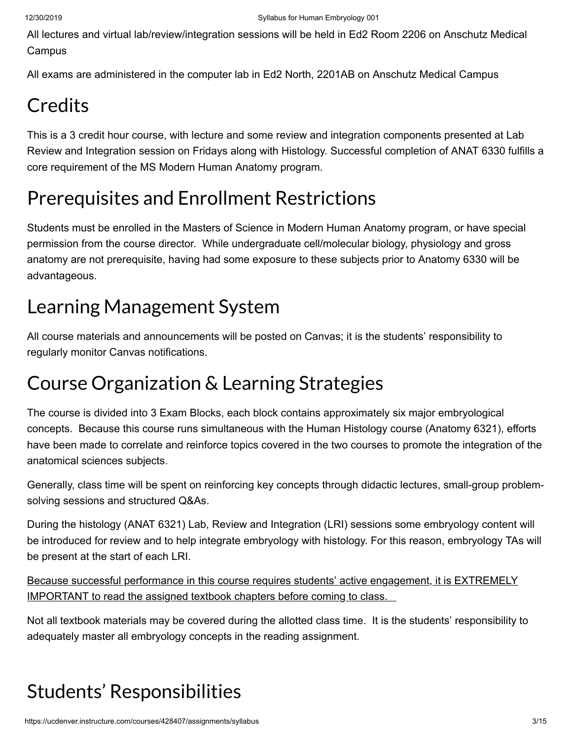All lectures and virtual lab/review/integration sessions will be held in Ed2 Room 2206 on Anschutz Medical **Campus** 

All exams are administered in the computer lab in Ed2 North, 2201AB on Anschutz Medical Campus

# **Credits**

This is a 3 credit hour course, with lecture and some review and integration components presented at Lab Review and Integration session on Fridays along with Histology. Successful completion of ANAT 6330 fulfills a core requirement of the MS Modern Human Anatomy program.

# Prerequisites and Enrollment Restrictions

Students must be enrolled in the Masters of Science in Modern Human Anatomy program, or have special permission from the course director. While undergraduate cell/molecular biology, physiology and gross anatomy are not prerequisite, having had some exposure to these subjects prior to Anatomy 6330 will be advantageous.

# Learning Management System

All course materials and announcements will be posted on Canvas; it is the students' responsibility to regularly monitor Canvas notifications.

# Course Organization & Learning Strategies

The course is divided into 3 Exam Blocks, each block contains approximately six major embryological concepts. Because this course runs simultaneous with the Human Histology course (Anatomy 6321), efforts have been made to correlate and reinforce topics covered in the two courses to promote the integration of the anatomical sciences subjects.

Generally, class time will be spent on reinforcing key concepts through didactic lectures, small-group problemsolving sessions and structured Q&As.

During the histology (ANAT 6321) Lab, Review and Integration (LRI) sessions some embryology content will be introduced for review and to help integrate embryology with histology. For this reason, embryology TAs will be present at the start of each LRI.

Because successful performance in this course requires students' active engagement, it is EXTREMELY IMPORTANT to read the assigned textbook chapters before coming to class.

Not all textbook materials may be covered during the allotted class time. It is the students' responsibility to adequately master all embryology concepts in the reading assignment.

# Students' Responsibilities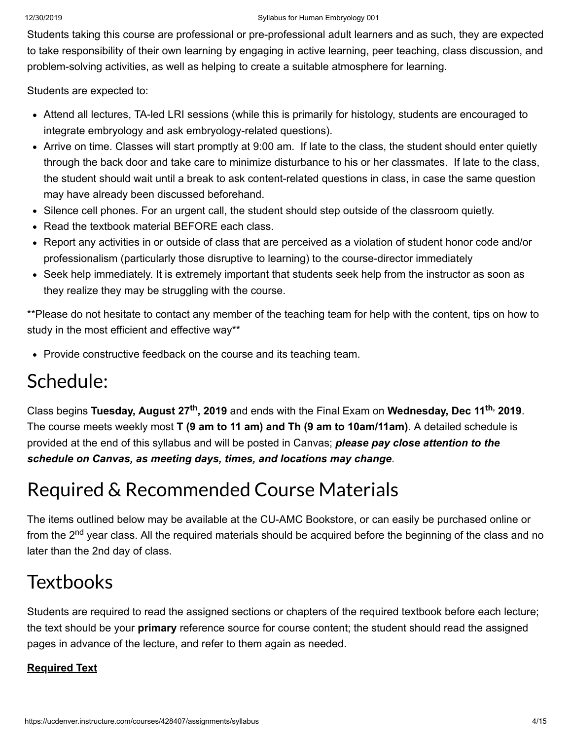#### 12/30/2019 Syllabus for Human Embryology 001

Students taking this course are professional or pre-professional adult learners and as such, they are expected to take responsibility of their own learning by engaging in active learning, peer teaching, class discussion, and problem-solving activities, as well as helping to create a suitable atmosphere for learning.

Students are expected to:

- Attend all lectures, TA-led LRI sessions (while this is primarily for histology, students are encouraged to integrate embryology and ask embryology-related questions).
- Arrive on time. Classes will start promptly at 9:00 am. If late to the class, the student should enter quietly through the back door and take care to minimize disturbance to his or her classmates. If late to the class, the student should wait until a break to ask content-related questions in class, in case the same question may have already been discussed beforehand.
- Silence cell phones. For an urgent call, the student should step outside of the classroom quietly.
- Read the textbook material BEFORE each class.
- Report any activities in or outside of class that are perceived as a violation of student honor code and/or professionalism (particularly those disruptive to learning) to the course-director immediately
- Seek help immediately. It is extremely important that students seek help from the instructor as soon as they realize they may be struggling with the course.

\*\*Please do not hesitate to contact any member of the teaching team for help with the content, tips on how to study in the most efficient and effective way\*\*

• Provide constructive feedback on the course and its teaching team.

# Schedule:

Class begins **Tuesday, August 27<sup>th</sup>, 2019** and ends with the Final Exam on **Wednesday, Dec 11<sup>th,</sup> 2019**. The course meets weekly most **T (9 am to 11 am) and Th (9 am to 10am/11am)**. A detailed schedule is provided at the end of this syllabus and will be posted in Canvas; *please pay close attention to the schedule on Canvas, as meeting days, times, and locations may change*.

# Required & Recommended Course Materials

The items outlined below may be available at the CU-AMC Bookstore, or can easily be purchased online or from the 2<sup>nd</sup> year class. All the required materials should be acquired before the beginning of the class and no later than the 2nd day of class.

# **Textbooks**

Students are required to read the assigned sections or chapters of the required textbook before each lecture; the text should be your **primary** reference source for course content; the student should read the assigned pages in advance of the lecture, and refer to them again as needed.

#### **Required Text**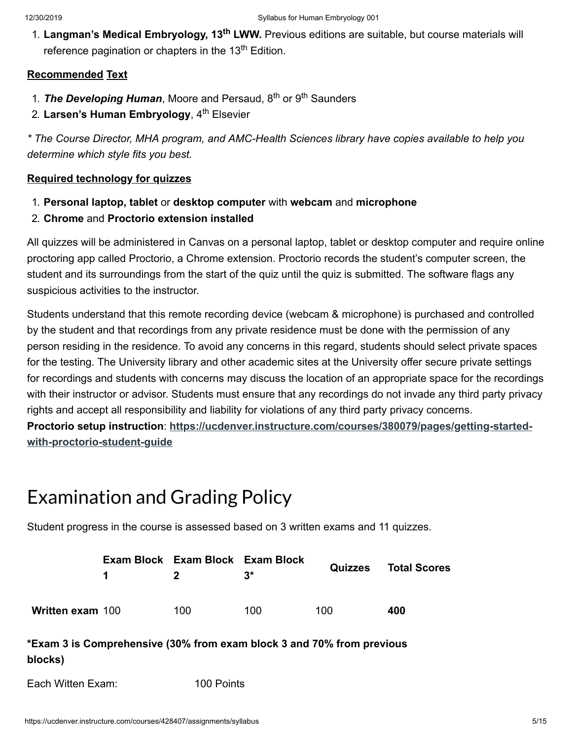1. Langman's Medical Embryology, 13<sup>th</sup> LWW. Previous editions are suitable, but course materials will reference pagination or chapters in the 13<sup>th</sup> Edition.

#### **Recommended Text**

- 1. The Developing Human, Moore and Persaud, 8<sup>th</sup> or 9<sup>th</sup> Saunders
- 2. Larsen's Human Embryology, 4<sup>th</sup> Elsevier

*\* The Course Director, MHA program, and AMC-Health Sciences library have copies available to help you determine which style fits you best.*

#### **Required technology for quizzes**

- 1. **Personal laptop, tablet** or **desktop computer** with **webcam** and **microphone**
- 2. **Chrome** and **Proctorio extension installed**

All quizzes will be administered in Canvas on a personal laptop, tablet or desktop computer and require online proctoring app called Proctorio, a Chrome extension. Proctorio records the student's computer screen, the student and its surroundings from the start of the quiz until the quiz is submitted. The software flags any suspicious activities to the instructor.

Students understand that this remote recording device (webcam & microphone) is purchased and controlled by the student and that recordings from any private residence must be done with the permission of any person residing in the residence. To avoid any concerns in this regard, students should select private spaces for the testing. The University library and other academic sites at the University offer secure private settings for recordings and students with concerns may discuss the location of an appropriate space for the recordings with their instructor or advisor. Students must ensure that any recordings do not invade any third party privacy rights and accept all responsibility and liability for violations of any third party privacy concerns. **Proctorio setup instruction**: **[https://ucdenver.instructure.com/courses/380079/pages/getting-started-](https://ucdenver.instructure.com/courses/380079/pages/getting-started-with-proctorio-student-guide)**

**with-proctorio-student-guide**

# Examination and Grading Policy

Student progress in the course is assessed based on 3 written exams and 11 quizzes.

|                  | $\mathbf 1$ | Exam Block Exam Block Exam Block<br>$\mathbf{p}$ | $3^{\star}$ | <b>Quizzes</b> | <b>Total Scores</b> |
|------------------|-------------|--------------------------------------------------|-------------|----------------|---------------------|
| Written exam 100 |             | 100                                              | 100.        | 100            | 400                 |

### **\*Exam 3 is Comprehensive (30% from exam block 3 and 70% from previous blocks)**

Each Witten Exam: 100 Points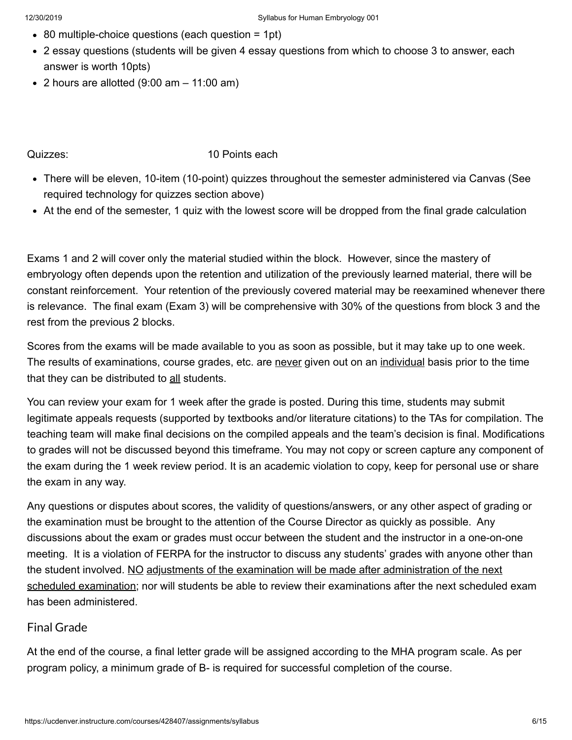- 80 multiple-choice questions (each question = 1pt)
- 2 essay questions (students will be given 4 essay questions from which to choose 3 to answer, each answer is worth 10pts)
- $\bullet$  2 hours are allotted (9:00 am  $-$  11:00 am)

#### Quizzes: 10 Points each

- There will be eleven, 10-item (10-point) quizzes throughout the semester administered via Canvas (See required technology for quizzes section above)
- At the end of the semester, 1 quiz with the lowest score will be dropped from the final grade calculation

Exams 1 and 2 will cover only the material studied within the block. However, since the mastery of embryology often depends upon the retention and utilization of the previously learned material, there will be constant reinforcement. Your retention of the previously covered material may be reexamined whenever there is relevance. The final exam (Exam 3) will be comprehensive with 30% of the questions from block 3 and the rest from the previous 2 blocks.

Scores from the exams will be made available to you as soon as possible, but it may take up to one week. The results of examinations, course grades, etc. are never given out on an individual basis prior to the time that they can be distributed to all students.

You can review your exam for 1 week after the grade is posted. During this time, students may submit legitimate appeals requests (supported by textbooks and/or literature citations) to the TAs for compilation. The teaching team will make final decisions on the compiled appeals and the team's decision is final. Modifications to grades will not be discussed beyond this timeframe. You may not copy or screen capture any component of the exam during the 1 week review period. It is an academic violation to copy, keep for personal use or share the exam in any way.

Any questions or disputes about scores, the validity of questions/answers, or any other aspect of grading or the examination must be brought to the attention of the Course Director as quickly as possible. Any discussions about the exam or grades must occur between the student and the instructor in a one-on-one meeting. It is a violation of FERPA for the instructor to discuss any students' grades with anyone other than the student involved. NO adjustments of the examination will be made after administration of the next scheduled examination; nor will students be able to review their examinations after the next scheduled exam has been administered.

#### Final Grade

At the end of the course, a final letter grade will be assigned according to the MHA program scale. As per program policy, a minimum grade of B- is required for successful completion of the course.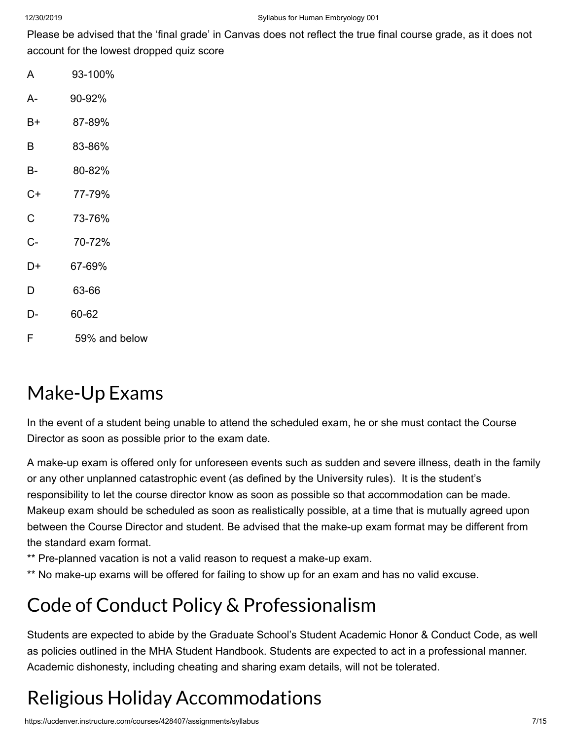Please be advised that the 'final grade' in Canvas does not reflect the true final course grade, as it does not account for the lowest dropped quiz score

- A 93-100%
- A- 90-92%
- B+ 87-89%
- B 83-86%
- B- 80-82%
- C+ 77-79%
- C 73-76%
- C- 70-72%
- D+ 67-69%
- D 63-66
- D- 60-62
- F 59% and below

### Make-Up Exams

In the event of a student being unable to attend the scheduled exam, he or she must contact the Course Director as soon as possible prior to the exam date.

A make-up exam is offered only for unforeseen events such as sudden and severe illness, death in the family or any other unplanned catastrophic event (as defined by the University rules). It is the student's responsibility to let the course director know as soon as possible so that accommodation can be made. Makeup exam should be scheduled as soon as realistically possible, at a time that is mutually agreed upon between the Course Director and student. Be advised that the make-up exam format may be different from the standard exam format.

- \*\* Pre-planned vacation is not a valid reason to request a make-up exam.
- \*\* No make-up exams will be offered for failing to show up for an exam and has no valid excuse.

### Code of Conduct Policy & Professionalism

Students are expected to abide by the Graduate School's Student Academic Honor & Conduct Code, as well as policies outlined in the MHA Student Handbook. Students are expected to act in a professional manner. Academic dishonesty, including cheating and sharing exam details, will not be tolerated.

# Religious Holiday Accommodations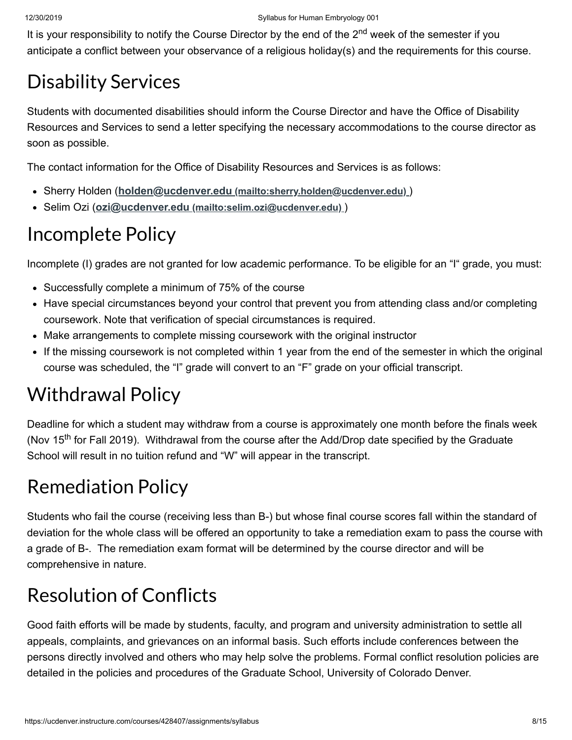It is your responsibility to notify the Course Director by the end of the 2<sup>nd</sup> week of the semester if you anticipate a conflict between your observance of a religious holiday(s) and the requirements for this course.

# Disability Services

Students with documented disabilities should inform the Course Director and have the Office of Disability Resources and Services to send a letter specifying the necessary accommodations to the course director as soon as possible.

The contact information for the Office of Disability Resources and Services is as follows:

- Sherry Holden (**holden@ucdenver.edu [\(mailto:sherry.holden@ucdenver.edu\)](mailto:sherry.holden@ucdenver.edu)** )
- Selim Ozi (**ozi@ucdenver.edu [\(mailto:selim.ozi@ucdenver.edu\)](mailto:selim.ozi@ucdenver.edu)** )

### Incomplete Policy

Incomplete (I) grades are not granted for low academic performance. To be eligible for an "I" grade, you must:

- Successfully complete a minimum of 75% of the course
- Have special circumstances beyond your control that prevent you from attending class and/or completing coursework. Note that verification of special circumstances is required.
- Make arrangements to complete missing coursework with the original instructor
- If the missing coursework is not completed within 1 year from the end of the semester in which the original course was scheduled, the "I" grade will convert to an "F" grade on your official transcript.

# Withdrawal Policy

Deadline for which a student may withdraw from a course is approximately one month before the finals week (Nov 15<sup>th</sup> for Fall 2019). Withdrawal from the course after the Add/Drop date specified by the Graduate School will result in no tuition refund and "W" will appear in the transcript.

# Remediation Policy

Students who fail the course (receiving less than B-) but whose final course scores fall within the standard of deviation for the whole class will be offered an opportunity to take a remediation exam to pass the course with a grade of B-. The remediation exam format will be determined by the course director and will be comprehensive in nature.

# **Resolution of Conflicts**

Good faith efforts will be made by students, faculty, and program and university administration to settle all appeals, complaints, and grievances on an informal basis. Such efforts include conferences between the persons directly involved and others who may help solve the problems. Formal conflict resolution policies are detailed in the policies and procedures of the Graduate School, University of Colorado Denver.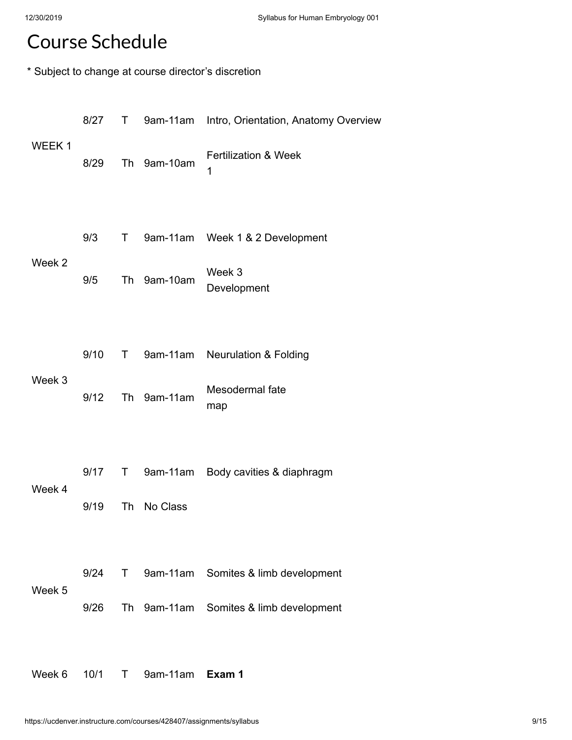### Course Schedule

\* Subject to change at course director's discretion

|                   | 8/27       |             |             | T 9am-11am Intro, Orientation, Anatomy Overview            |
|-------------------|------------|-------------|-------------|------------------------------------------------------------|
| WEEK <sub>1</sub> | 8/29       |             | Th 9am-10am | <b>Fertilization &amp; Week</b><br>1                       |
| Week 2            | 9/3<br>9/5 |             | Th 9am-10am | T 9am-11am Week 1 & 2 Development<br>Week 3<br>Development |
|                   |            |             |             |                                                            |
|                   | 9/10       | $\mathsf T$ | 9am-11am    | <b>Neurulation &amp; Folding</b>                           |
| Week 3            | 9/12       |             | Th 9am-11am | Mesodermal fate<br>map                                     |
|                   |            |             |             |                                                            |
| Week 4            | 9/17       |             |             | T 9am-11am Body cavities & diaphragm                       |
|                   | 9/19       |             | Th No Class |                                                            |
|                   |            |             |             |                                                            |
| Week 5            | 9/24       |             |             | T 9am-11am Somites & limb development                      |
|                   | 9/26       |             |             | Th 9am-11am Somites & limb development                     |
|                   |            |             |             |                                                            |

Week 6 10/1 T 9am-11am **Exam 1**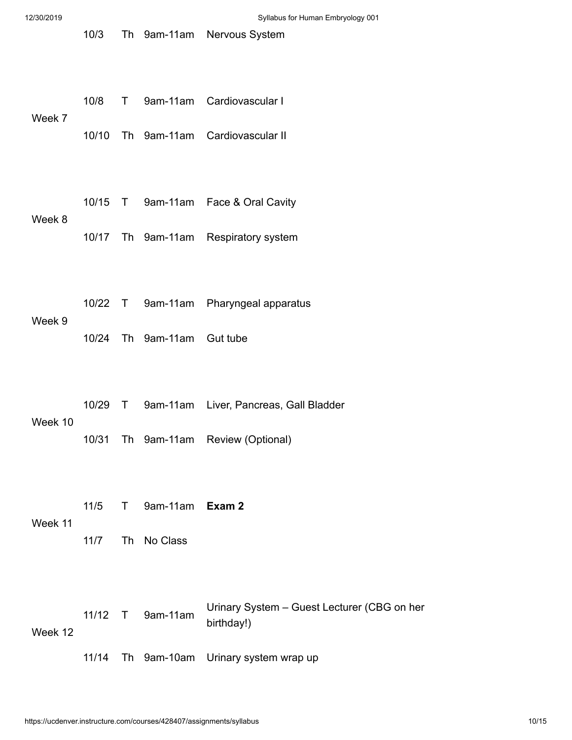| 12/30/2019 |       |                            | Syllabus for Human Embryology 001                         |
|------------|-------|----------------------------|-----------------------------------------------------------|
|            | 10/3  |                            | Th 9am-11am Nervous System                                |
|            | 10/8  |                            | T 9am-11am Cardiovascular I                               |
| Week 7     | 10/10 |                            | Th 9am-11am Cardiovascular II                             |
|            |       |                            |                                                           |
| Week 8     |       |                            | 10/15 T 9am-11am Face & Oral Cavity                       |
|            |       |                            | 10/17 Th 9am-11am Respiratory system                      |
|            |       |                            |                                                           |
|            |       |                            | 10/22 T 9am-11am Pharyngeal apparatus                     |
| Week 9     |       | 10/24 Th 9am-11am Gut tube |                                                           |
|            |       |                            |                                                           |
| Week 10    |       |                            | 10/29 T 9am-11am Liver, Pancreas, Gall Bladder            |
|            |       |                            | 10/31 Th 9am-11am Review (Optional)                       |
|            |       |                            |                                                           |
| Week 11    | 11/5  | T 9am-11am Exam 2          |                                                           |
|            | 11/7  | Th No Class                |                                                           |
|            |       |                            |                                                           |
| Week 12    |       | 11/12 T 9am-11am           | Urinary System - Guest Lecturer (CBG on her<br>birthday!) |
|            | 11/14 |                            | Th 9am-10am Urinary system wrap up                        |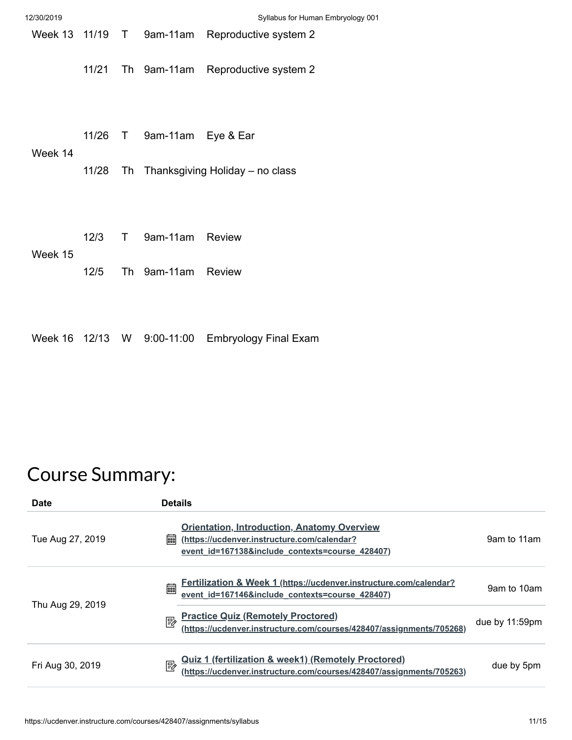| 12/30/2019      |       |                            | Syllabus for Human Embryology 001       |
|-----------------|-------|----------------------------|-----------------------------------------|
| Week 13 11/19 T |       |                            | 9am-11am Reproductive system 2          |
|                 |       |                            | 11/21 Th 9am-11am Reproductive system 2 |
| Week 14         |       | 11/26 T 9am-11am Eye & Ear |                                         |
|                 | 11/28 |                            | Th Thanksgiving Holiday – no class      |
| Week 15         | 12/3  | T 9am-11am Review          |                                         |
|                 | 12/5  | Th 9am-11am Review         |                                         |
|                 |       |                            |                                         |

Week 16 12/13 W 9:00-11:00 Embryology Final Exam

# Course Summary:

| <b>Date</b>      | <b>Details</b>                                                                                                                                            |                |
|------------------|-----------------------------------------------------------------------------------------------------------------------------------------------------------|----------------|
| Tue Aug 27, 2019 | <b>Orientation, Introduction, Anatomy Overview</b><br>(https://ucdenver.instructure.com/calendar?<br>酾<br>event id=167138&include contexts=course 428407) | 9am to 11am    |
| Thu Aug 29, 2019 | Fertilization & Week 1 (https://ucdenver.instructure.com/calendar?<br>圇<br>event_id=167146&include_contexts=course_428407)                                | 9am to 10am    |
|                  | <b>Practice Quiz (Remotely Proctored)</b><br>國<br>(https://ucdenver.instructure.com/courses/428407/assignments/705268)                                    | due by 11:59pm |
| Fri Aug 30, 2019 | <u>Quiz 1 (fertilization &amp; week1) (Remotely Proctored)</u><br>(https://ucdenver.instructure.com/courses/428407/assignments/705263)<br>國               | due by 5pm     |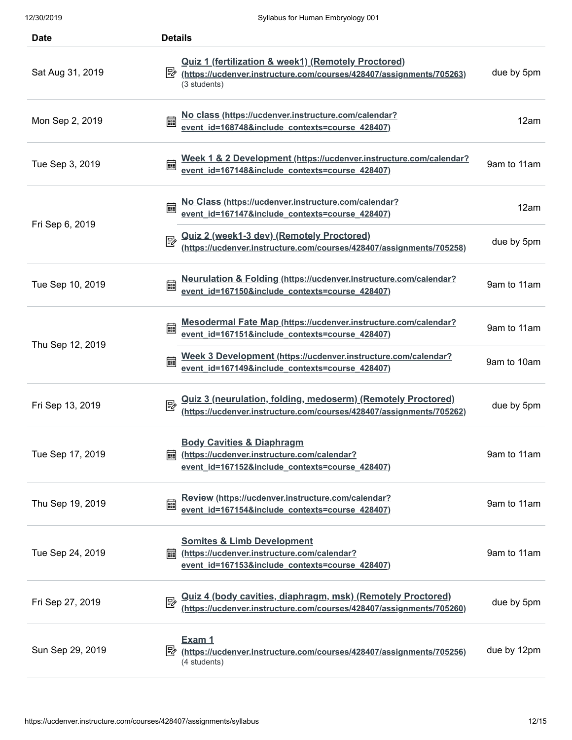| <b>Date</b>      | <b>Details</b>                                                                                                                                        |             |
|------------------|-------------------------------------------------------------------------------------------------------------------------------------------------------|-------------|
| Sat Aug 31, 2019 | <b>Quiz 1 (fertilization &amp; week1) (Remotely Proctored)</b><br>https://ucdenver.instructure.com/courses/428407/assignments/705263)<br>(3 students) | due by 5pm  |
| Mon Sep 2, 2019  | No class (https://ucdenver.instructure.com/calendar?<br>篇<br>event id=168748&include contexts=course 428407)                                          | 12am        |
| Tue Sep 3, 2019  | Week 1 & 2 Development (https://ucdenver.instructure.com/calendar?<br>event_id=167148&include_contexts=course_428407)<br>翩                            | 9am to 11am |
| Fri Sep 6, 2019  | No Class (https://ucdenver.instructure.com/calendar?<br>篇<br>event_id=167147&include_contexts=course_428407)                                          | 12am        |
|                  | <u>Quiz 2 (week1-3 dev) (Remotely Proctored)</u><br>(https://ucdenver.instructure.com/courses/428407/assignments/705258)<br>國                         | due by 5pm  |
| Tue Sep 10, 2019 | Neurulation & Folding (https://ucdenver.instructure.com/calendar?<br>篇<br>event id=167150&include contexts=course 428407)                             | 9am to 11am |
| Thu Sep 12, 2019 | Mesodermal Fate Map (https://ucdenver.instructure.com/calendar?<br>篇<br>event id=167151&include contexts=course 428407)                               | 9am to 11am |
|                  | Week 3 Development (https://ucdenver.instructure.com/calendar?<br>霝<br>event_id=167149&include_contexts=course_428407)                                | 9am to 10am |
| Fri Sep 13, 2019 | <b>Quiz 3 (neurulation, folding, medoserm) (Remotely Proctored)</b><br>國<br>(https://ucdenver.instructure.com/courses/428407/assignments/705262)      | due by 5pm  |
| Tue Sep 17, 2019 | <b>Body Cavities &amp; Diaphragm</b><br>(https://ucdenver.instructure.com/calendar?<br>        <br>event id=167152&include contexts=course 428407)    | 9am to 11am |
| Thu Sep 19, 2019 | Review (https://ucdenver.instructure.com/calendar?<br>匾<br>event id=167154&include contexts=course 428407)                                            | 9am to 11am |
| Tue Sep 24, 2019 | <b>Somites &amp; Limb Development</b><br>(https://ucdenver.instructure.com/calendar?<br>匾<br>event id=167153&include contexts=course 428407)          | 9am to 11am |
| Fri Sep 27, 2019 | <u> Quiz 4 (body cavities, diaphragm, msk) (Remotely Proctored)</u><br>國<br>(https://ucdenver.instructure.com/courses/428407/assignments/705260)      | due by 5pm  |
| Sun Sep 29, 2019 | Exam 1<br>怪<br>(https://ucdenver.instructure.com/courses/428407/assignments/705256)<br>(4 students)                                                   | due by 12pm |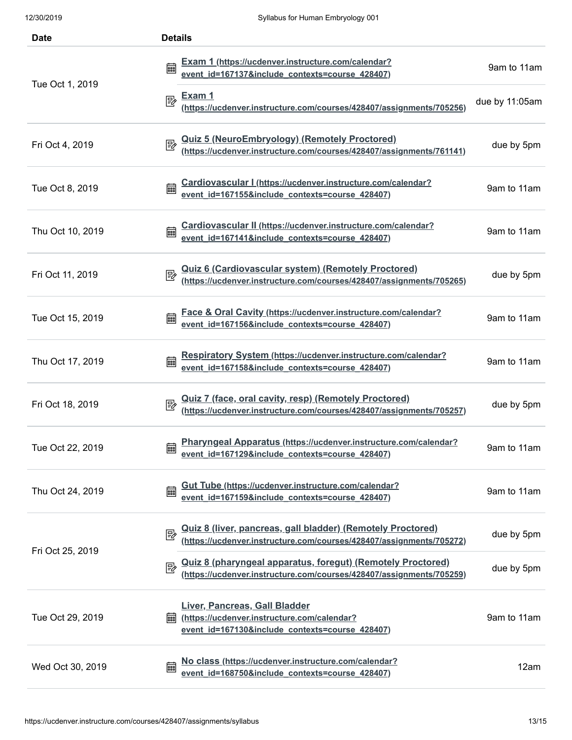| <b>Date</b>      | <b>Details</b>                                                                                                                                  |                |  |  |
|------------------|-------------------------------------------------------------------------------------------------------------------------------------------------|----------------|--|--|
|                  | Exam 1 (https://ucdenver.instructure.com/calendar?<br>event_id=167137&include_contexts=course_428407)<br>匾                                      | 9am to 11am    |  |  |
| Tue Oct 1, 2019  | <u>Exam 1</u><br>國<br>(https://ucdenver.instructure.com/courses/428407/assignments/705256)                                                      | due by 11:05am |  |  |
| Fri Oct 4, 2019  | <u>Quiz 5 (NeuroEmbryology) (Remotely Proctored)</u><br>(https://ucdenver.instructure.com/courses/428407/assignments/761141)<br>國               | due by 5pm     |  |  |
| Tue Oct 8, 2019  | Cardiovascular I (https://ucdenver.instructure.com/calendar?<br>event_id=167155&include_contexts=course_428407)<br>霝                            | 9am to 11am    |  |  |
| Thu Oct 10, 2019 | Cardiovascular II (https://ucdenver.instructure.com/calendar?<br>event_id=167141&include_contexts=course_428407)<br>篇                           | 9am to 11am    |  |  |
| Fri Oct 11, 2019 | <u>Quiz 6 (Cardiovascular system) (Remotely Proctored)</u><br>(https://ucdenver.instructure.com/courses/428407/assignments/705265)<br>國         | due by 5pm     |  |  |
| Tue Oct 15, 2019 | Face & Oral Cavity (https://ucdenver.instructure.com/calendar?<br>篇<br>event id=167156&include contexts=course 428407)                          | 9am to 11am    |  |  |
| Thu Oct 17, 2019 | Respiratory System (https://ucdenver.instructure.com/calendar?<br>霝<br>event id=167158&include contexts=course 428407)                          | 9am to 11am    |  |  |
| Fri Oct 18, 2019 | Quiz 7 (face, oral cavity, resp) (Remotely Proctored)<br>(https://ucdenver.instructure.com/courses/428407/assignments/705257)<br>郾              | due by 5pm     |  |  |
| Tue Oct 22, 2019 | Pharyngeal Apparatus (https://ucdenver.instructure.com/calendar?<br>藟<br>event id=167129&include contexts=course 428407)                        | 9am to 11am    |  |  |
| Thu Oct 24, 2019 | <b>Gut Tube (https://ucdenver.instructure.com/calendar?</b><br>鼺<br>event id=167159&include_contexts=course_428407)                             | 9am to 11am    |  |  |
| Fri Oct 25, 2019 | <u>Quiz 8 (liver, pancreas, gall bladder) (Remotely Proctored)</u><br>(https://ucdenver.instructure.com/courses/428407/assignments/705272)<br>國 | due by 5pm     |  |  |
|                  | <u>Quiz 8 (pharyngeal apparatus, foregut) (Remotely Proctored)</u><br>(https://ucdenver.instructure.com/courses/428407/assignments/705259)<br>國 | due by 5pm     |  |  |
| Tue Oct 29, 2019 | Liver, Pancreas, Gall Bladder<br>(https://ucdenver.instructure.com/calendar?<br>酾<br>event id=167130&include contexts=course 428407)            | 9am to 11am    |  |  |
| Wed Oct 30, 2019 | No class (https://ucdenver.instructure.com/calendar?<br>篇<br>event id=168750&include contexts=course 428407)                                    | 12am           |  |  |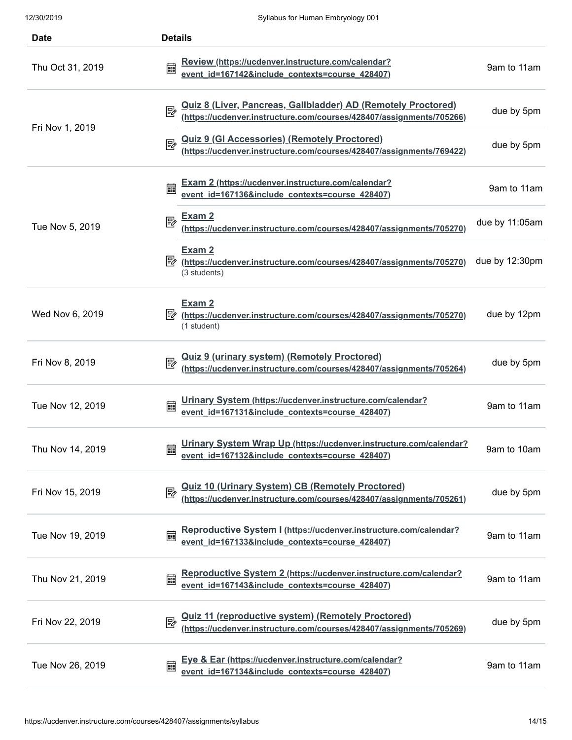| <b>Date</b>      | <b>Details</b>                                                                                                                                    |                |
|------------------|---------------------------------------------------------------------------------------------------------------------------------------------------|----------------|
| Thu Oct 31, 2019 | Review (https://ucdenver.instructure.com/calendar?<br>酾<br>event id=167142&include contexts=course 428407)                                        | 9am to 11am    |
| Fri Nov 1, 2019  | <u>Quiz 8 (Liver, Pancreas, Gallbladder) AD (Remotely Proctored)</u><br>(https://ucdenver.instructure.com/courses/428407/assignments/705266)<br>國 | due by 5pm     |
|                  | <u>Quiz 9 (GI Accessories) (Remotely Proctored)</u><br>(https://ucdenver.instructure.com/courses/428407/assignments/769422)<br>國                  | due by 5pm     |
|                  | <b>Exam 2 (https://ucdenver.instructure.com/calendar?</b><br>匾<br>event_id=167136&include_contexts=course_428407)                                 | 9am to 11am    |
| Tue Nov 5, 2019  | <u>Exam 2</u><br>國<br>(https://ucdenver.instructure.com/courses/428407/assignments/705270)                                                        | due by 11:05am |
|                  | Exam 2<br>零<br>(https://ucdenver.instructure.com/courses/428407/assignments/705270)<br>(3 students)                                               | due by 12:30pm |
| Wed Nov 6, 2019  | Exam 2<br>彫<br>(https://ucdenver.instructure.com/courses/428407/assignments/705270)<br>(1 student)                                                | due by 12pm    |
| Fri Nov 8, 2019  | <u>Quiz 9 (urinary system) (Remotely Proctored)</u><br>(https://ucdenver.instructure.com/courses/428407/assignments/705264)                       | due by 5pm     |
| Tue Nov 12, 2019 | Urinary System (https://ucdenver.instructure.com/calendar?<br>篇<br>event id=167131&include contexts=course 428407)                                | 9am to 11am    |
| Thu Nov 14, 2019 | Urinary System Wrap Up (https://ucdenver.instructure.com/calendar?<br>鼺<br>event id=167132&include contexts=course 428407)                        | 9am to 10am    |
| Fri Nov 15, 2019 | Quiz 10 (Urinary System) CB (Remotely Proctored)<br>(https://ucdenver.instructure.com/courses/428407/assignments/705261)<br>國                     | due by 5pm     |
| Tue Nov 19, 2019 | Reproductive System I (https://ucdenver.instructure.com/calendar?<br>匾<br>event id=167133&include contexts=course 428407)                         | 9am to 11am    |
| Thu Nov 21, 2019 | Reproductive System 2 (https://ucdenver.instructure.com/calendar?<br>匾<br>event id=167143&include contexts=course 428407)                         | 9am to 11am    |
| Fri Nov 22, 2019 | Quiz 11 (reproductive system) (Remotely Proctored)<br>(https://ucdenver.instructure.com/courses/428407/assignments/705269)<br>艮                   | due by 5pm     |
| Tue Nov 26, 2019 | <u>Eye &amp; Ear (https://ucdenver.instructure.com/calendar?</u><br>匾<br>event id=167134&include contexts=course 428407)                          | 9am to 11am    |